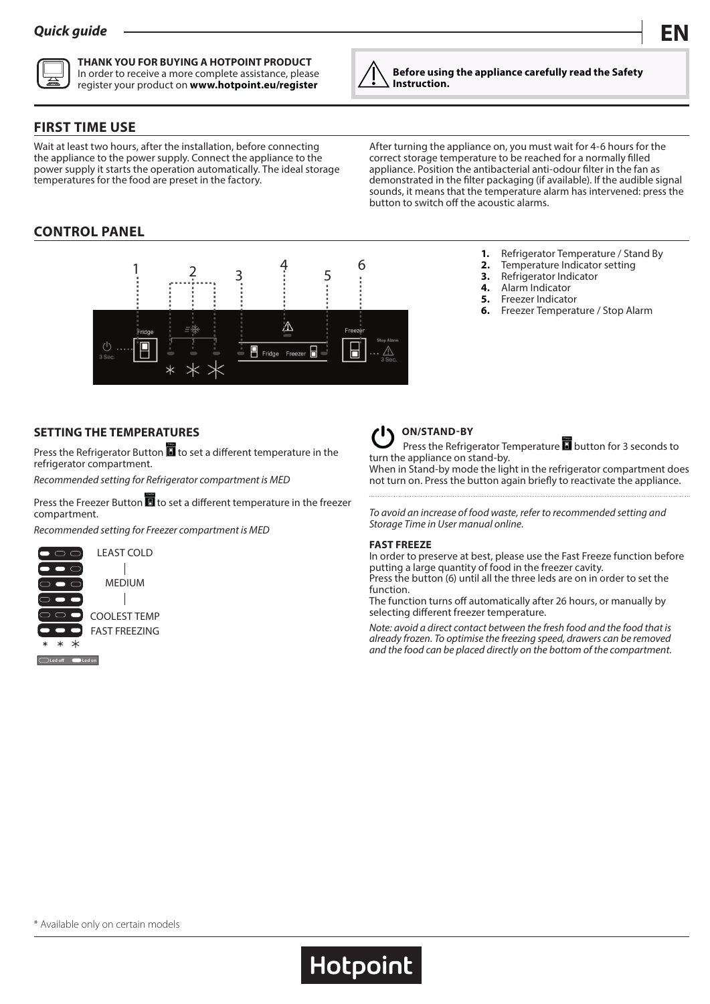

**THANK YOU FOR BUYING A HOTPOINT PRODUCT** In order to receive a more complete assistance, please register your product on **www.hotpoint.eu/register**



**Before using the appliance carefully read the Safety Instruction.**

## **FIRST TIME USE**

Wait at least two hours, after the installation, before connecting the appliance to the power supply. Connect the appliance to the power supply it starts the operation automatically. The ideal storage temperatures for the food are preset in the factory.

After turning the appliance on, you must wait for 4-6 hours for the correct storage temperature to be reached for a normally filled appliance. Position the antibacterial anti-odour filter in the fan as demonstrated in the filter packaging (if available). If the audible signal sounds, it means that the temperature alarm has intervened: press the button to switch off the acoustic alarms.

> **3.** Refrigerator Indicator **4.** Alarm Indicator **5.** Freezer Indicator<br>**6.** Freezer Temperator

**1.** Refrigerator Temperature / Stand By<br>**2.** Temperature Indicator setting **2.** Temperature Indicator setting

**6.** Freezer Temperature / Stop Alarm

# **CONTROL PANEL**



## **SETTING THE TEMPERATURES**

Press the Refrigerator Button  $\blacksquare$  to set a different temperature in the refrigerator compartment.

*Recommended setting for Refrigerator compartment is MED*

Press the Freezer Button  $\blacksquare$  to set a different temperature in the freezer compartment.

*Recommended setting for Freezer compartment is MED*





## **ON/STAND-BY**

Press the Refrigerator Temperature  $\blacksquare$  button for 3 seconds to turn the appliance on stand-by.

When in Stand-by mode the light in the refrigerator compartment does not turn on. Press the button again briefly to reactivate the appliance.

*To avoid an increase of food waste, refer to recommended setting and Storage Time in User manual online.*

#### **FAST FREEZE**

**Hotpoint** 

In order to preserve at best, please use the Fast Freeze function before putting a large quantity of food in the freezer cavity. Press the button (6) until all the three leds are on in order to set the

function.

The function turns off automatically after 26 hours, or manually by selecting different freezer temperature.

*Note: avoid a direct contact between the fresh food and the food that is already frozen. To optimise the freezing speed, drawers can be removed and the food can be placed directly on the bottom of the compartment.*

\* Available only on certain models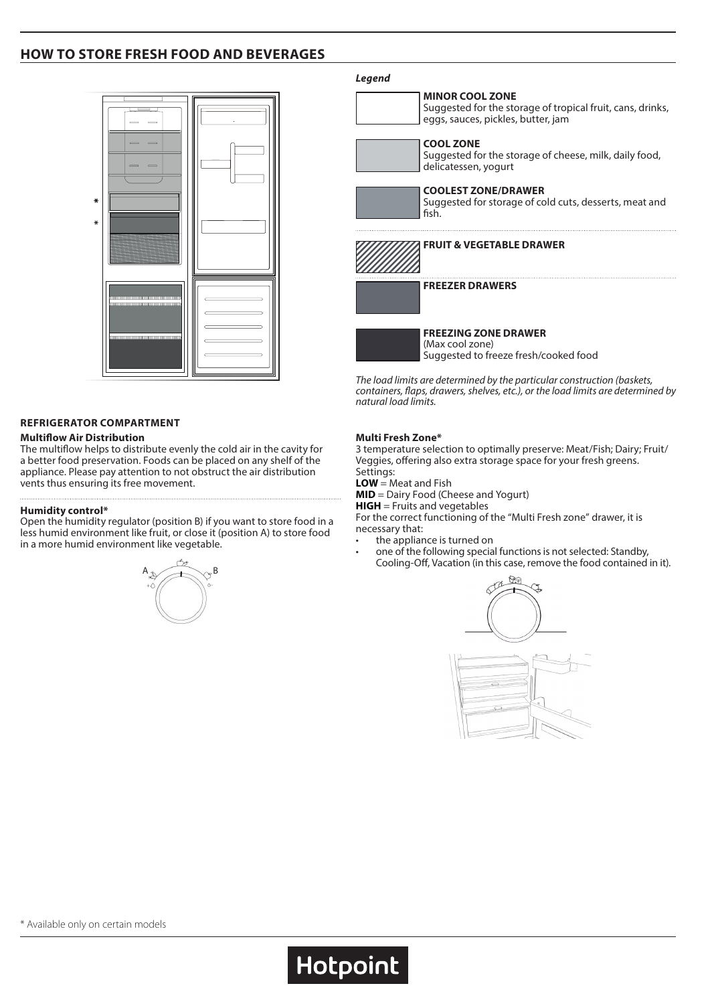## **HOW TO STORE FRESH FOOD AND BEVERAGES**



### **REFRIGERATOR COMPARTMENT**

### **Multiflow Air Distribution**

The multiflow helps to distribute evenly the cold air in the cavity for a better food preservation. Foods can be placed on any shelf of the appliance. Please pay attention to not obstruct the air distribution vents thus ensuring its free movement.

#### **Humidity control\***

Open the humidity regulator (position B) if you want to store food in a less humid environment like fruit, or close it (position A) to store food in a more humid environment like vegetable.



#### *Legend*



**FREEZING ZONE DRAWER** (Max cool zone) Suggested to freeze fresh/cooked food

*The load limits are determined by the particular construction (baskets, containers, flaps, drawers, shelves, etc.), or the load limits are determined by natural load limits.*

#### **Multi Fresh Zone\***

3 temperature selection to optimally preserve: Meat/Fish; Dairy; Fruit/ Veggies, offering also extra storage space for your fresh greens. Settings:

**LOW** = Meat and Fish

**Hotpoint** 

**MID** = Dairy Food (Cheese and Yogurt)

**HIGH** = Fruits and vegetables

For the correct functioning of the "Multi Fresh zone" drawer, it is necessary that:

- the appliance is turned on
- one of the following special functions is not selected: Standby, Cooling-Off, Vacation (in this case, remove the food contained in it).



\* Available only on certain models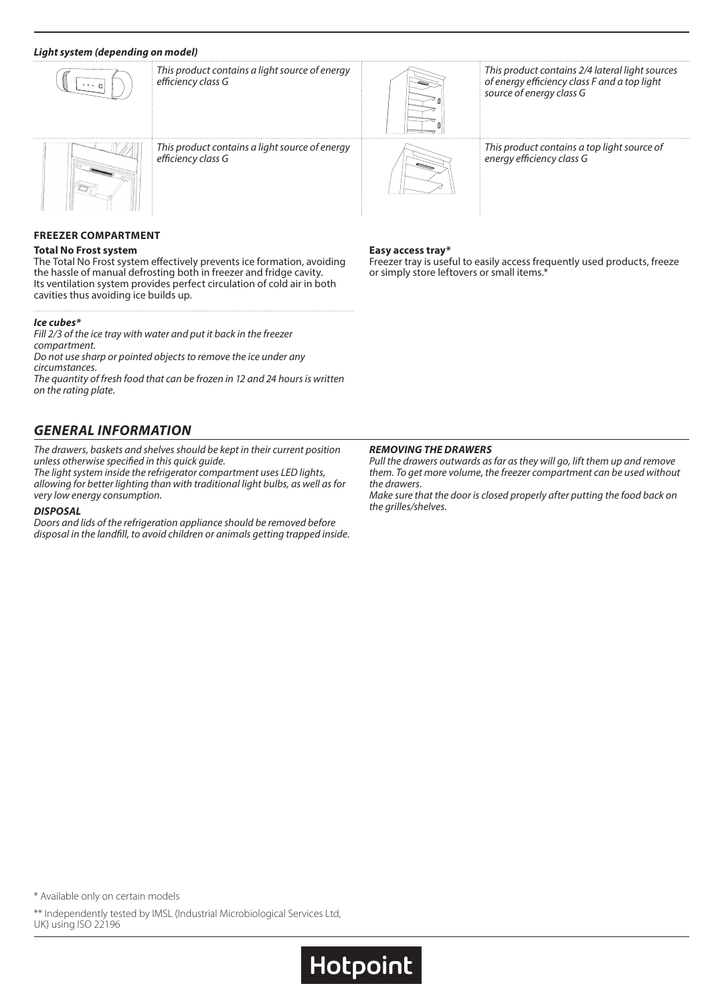### *Light system (depending on model)*



*This product contains a light source of energy efficiency class G*



*This product contains a light source of energy efficiency class G*



*This product contains 2/4 lateral light sources of energy efficiency class F and a top light source of energy class G*



*This product contains a top light source of energy efficiency class G*

### **FREEZER COMPARTMENT**

#### **Total No Frost system**

The Total No Frost system effectively prevents ice formation, avoiding the hassle of manual defrosting both in freezer and fridge cavity. Its ventilation system provides perfect circulation of cold air in both cavities thus avoiding ice builds up.

### *Ice cubes\**

*Fill 2/3 of the ice tray with water and put it back in the freezer compartment. Do not use sharp or pointed objects to remove the ice under any circumstances.*

*The quantity of fresh food that can be frozen in 12 and 24 hours is written on the rating plate.*

## *GENERAL INFORMATION*

*The drawers, baskets and shelves should be kept in their current position unless otherwise specified in this quick guide.*

*The light system inside the refrigerator compartment uses LED lights, allowing for better lighting than with traditional light bulbs, as well as for very low energy consumption.*

### *DISPOSAL*

*Doors and lids of the refrigeration appliance should be removed before disposal in the landfill, to avoid children or animals getting trapped inside.*

#### **Easy access tray***\**

Freezer tray is useful to easily access frequently used products, freeze or simply store leftovers or small items.\*

#### *REMOVING THE DRAWERS*

**Hotpoint** 

*Pull the drawers outwards as far as they will go, lift them up and remove them. To get more volume, the freezer compartment can be used without the drawers.*

*Make sure that the door is closed properly after putting the food back on the grilles/shelves.*

\* Available only on certain models

\*\* Independently tested by IMSL (Industrial Microbiological Services Ltd, UK) using ISO 22196